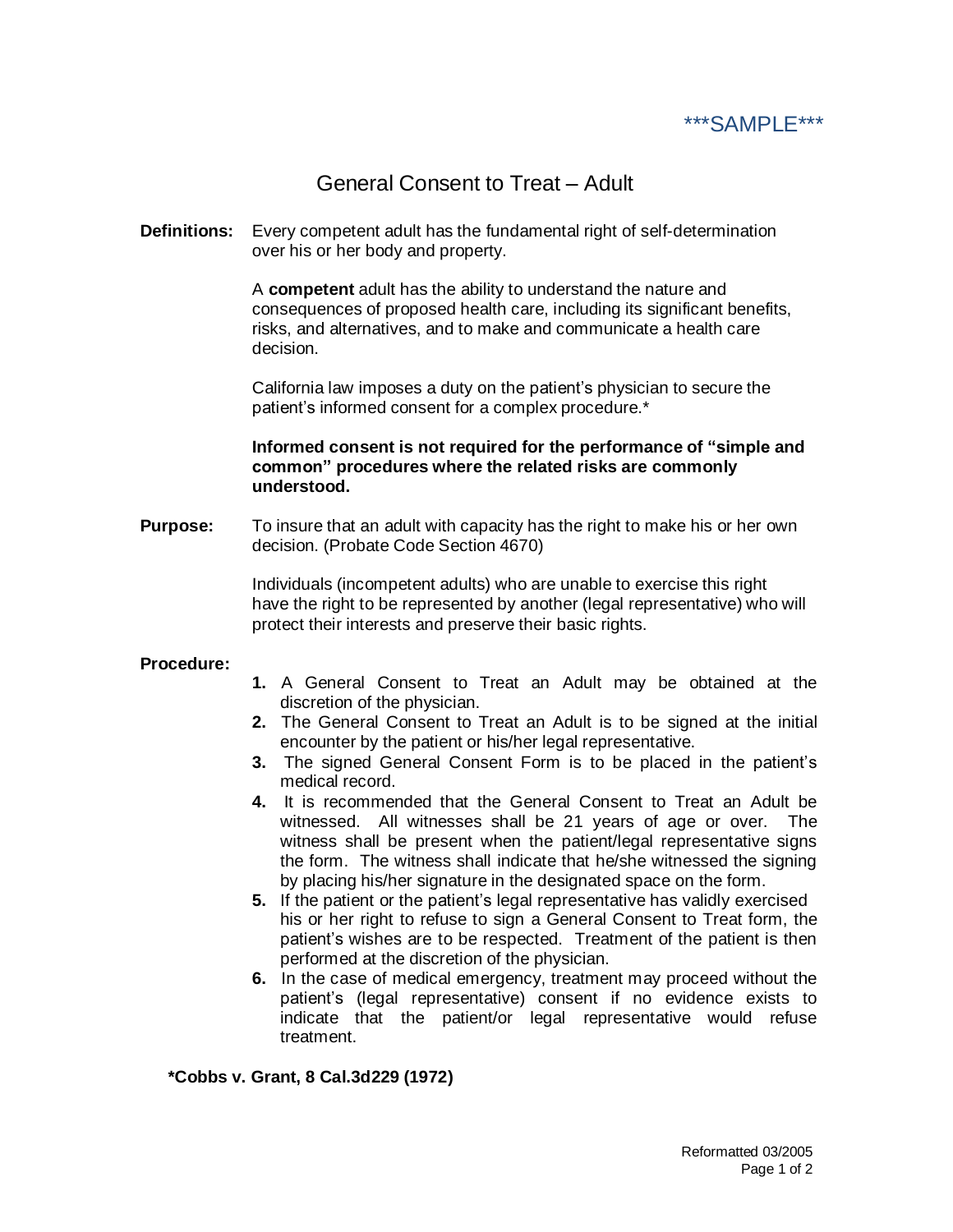

## General Consent to Treat – Adult

**Definitions:** Every competent adult has the fundamental right of self-determination over his or her body and property.

> A **competent** adult has the ability to understand the nature and consequences of proposed health care, including its significant benefits, risks, and alternatives, and to make and communicate a health care decision.

California law imposes a duty on the patient's physician to secure the patient's informed consent for a complex procedure.\*

**Informed consent is not required for the performance of "simple and common" procedures where the related risks are commonly understood.**

**Purpose:** To insure that an adult with capacity has the right to make his or her own decision. (Probate Code Section 4670)

> Individuals (incompetent adults) who are unable to exercise this right have the right to be represented by another (legal representative) who will protect their interests and preserve their basic rights.

## **Procedure:**

- **1.** A General Consent to Treat an Adult may be obtained at the discretion of the physician.
- **2.** The General Consent to Treat an Adult is to be signed at the initial encounter by the patient or his/her legal representative.
- **3.** The signed General Consent Form is to be placed in the patient's medical record.
- **4.** It is recommended that the General Consent to Treat an Adult be witnessed. All witnesses shall be 21 years of age or over. The witness shall be present when the patient/legal representative signs the form. The witness shall indicate that he/she witnessed the signing by placing his/her signature in the designated space on the form.
- **5.** If the patient or the patient's legal representative has validly exercised his or her right to refuse to sign a General Consent to Treat form, the patient's wishes are to be respected. Treatment of the patient is then performed at the discretion of the physician.
- **6.** In the case of medical emergency, treatment may proceed without the patient's (legal representative) consent if no evidence exists to indicate that the patient/or legal representative would refuse treatment.

## **\*Cobbs v. Grant, 8 Cal.3d229 (1972)**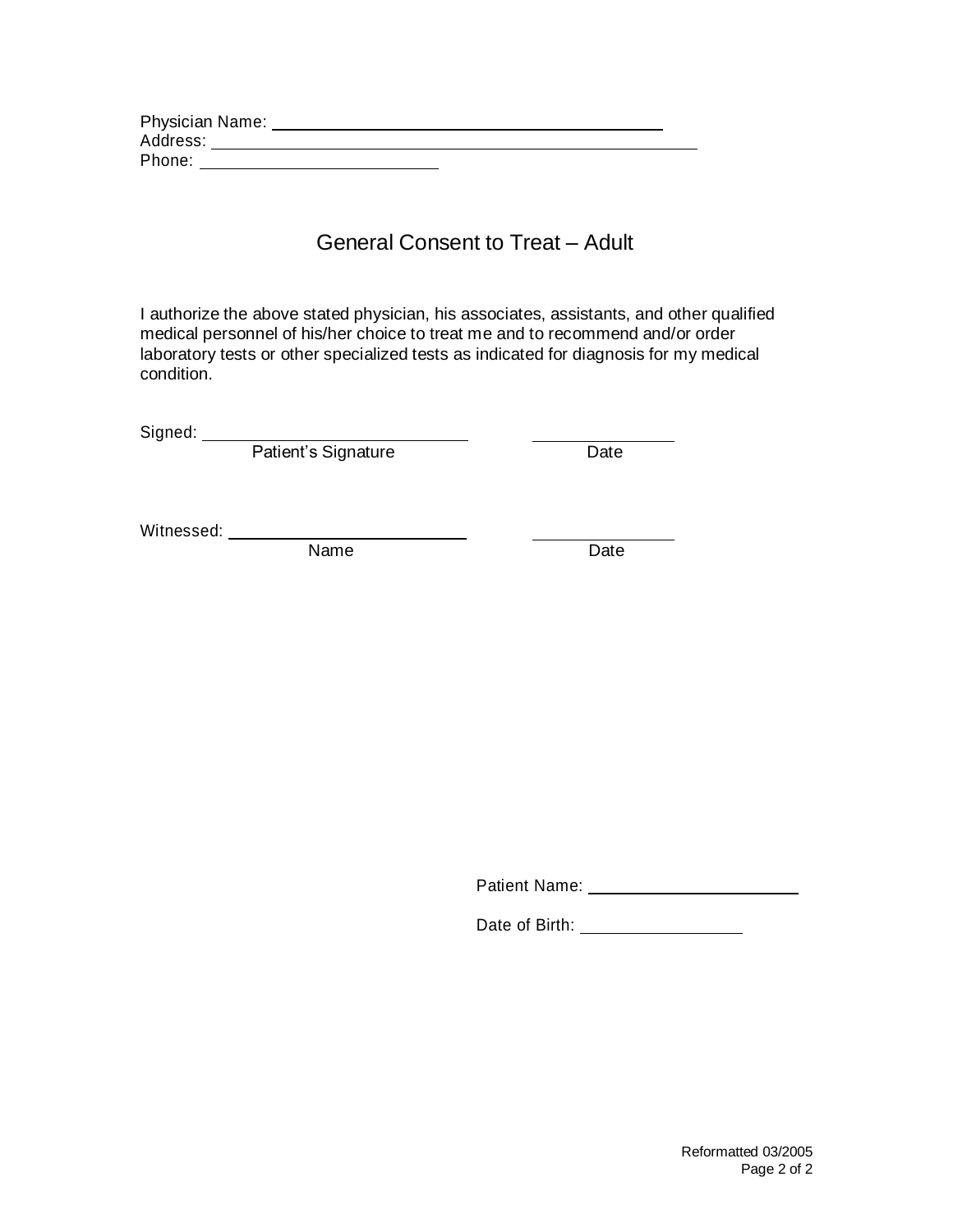| Physician Name: |  |  |
|-----------------|--|--|
| Address:        |  |  |
| Phone:          |  |  |

## General Consent to Treat – Adult

I authorize the above stated physician, his associates, assistants, and other qualified medical personnel of his/her choice to treat me and to recommend and/or order laboratory tests or other specialized tests as indicated for diagnosis for my medical condition.

Signed:

Patient's Signature **Date** 

Witnessed:

Name Date

Patient Name:

Date of Birth: